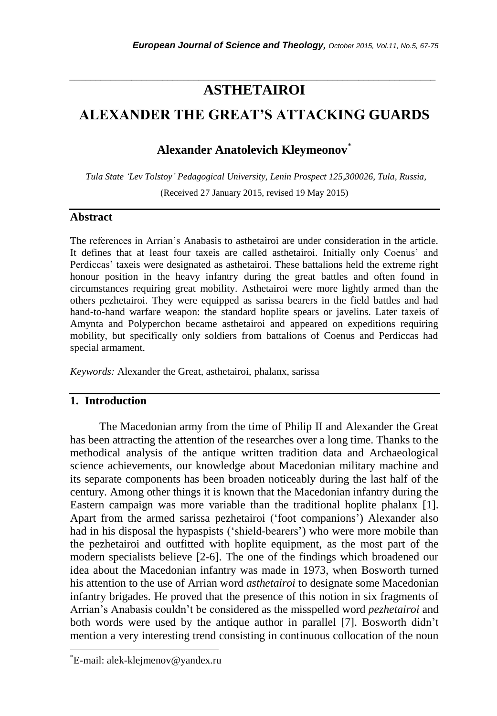# *\_\_\_\_\_\_\_\_\_\_\_\_\_\_\_\_\_\_\_\_\_\_\_\_\_\_\_\_\_\_\_\_\_\_\_\_\_\_\_\_\_\_\_\_\_\_\_\_\_\_\_\_\_\_\_\_\_\_\_\_\_\_\_\_\_\_\_\_\_\_\_* **ASTHETAIROI**

# **ALEXANDER THE GREAT'S ATTACKING GUARDS**

# **Alexander Anatolevich Kleymeonov**\*

*Tula State 'Lev Tolstoy' Pedagogical University, Lenin Prospect 125,300026, Tula, Russia,*  (Received 27 January 2015, revised 19 May 2015)

### **Abstract**

The references in Arrian"s Anabasis to asthetairoi are under consideration in the article. It defines that at least four taxeis are called asthetairoi. Initially only Coenus" and Perdiccas' taxeis were designated as asthetairoi. These battalions held the extreme right honour position in the heavy infantry during the great battles and often found in circumstances requiring great mobility. Asthetairoi were more lightly armed than the others pezhetairoi. They were equipped as sarissa bearers in the field battles and had hand-to-hand warfare weapon: the standard hoplite spears or javelins. Later taxeis of Amynta and Polyperchon became asthetairoi and appeared on expeditions requiring mobility, but specifically only soldiers from battalions of Coenus and Perdiccas had special armament.

*Keywords:* Alexander the Great, asthetairoi, phalanx, sarissa

# **1. Introduction**

The Macedonian army from the time of Philip II and Alexander the Great has been attracting the attention of the researches over a long time. Thanks to the methodical analysis of the antique written tradition data and Archaeological science achievements, our knowledge about Macedonian military machine and its separate components has been broaden noticeably during the last half of the century. Among other things it is known that the Macedonian infantry during the Eastern campaign was more variable than the traditional hoplite phalanx [1]. Apart from the armed sarissa pezhetairoi ("foot companions") Alexander also had in his disposal the hypaspists ('shield-bearers') who were more mobile than the pezhetairoi and outfitted with hoplite equipment, as the most part of the modern specialists believe [2-6]. The one of the findings which broadened our idea about the Macedonian infantry was made in 1973, when Bosworth turned his attention to the use of Arrian word *asthetairoi* to designate some Macedonian infantry brigades. He proved that the presence of this notion in six fragments of Arrian"s Anabasis couldn"t be considered as the misspelled word *pezhetairoi* and both words were used by the antique author in parallel [7]. Bosworth didn"t mention a very interesting trend consisting in continuous collocation of the noun

l

<sup>\*</sup>E-mail: alek-klejmenov@yandex.ru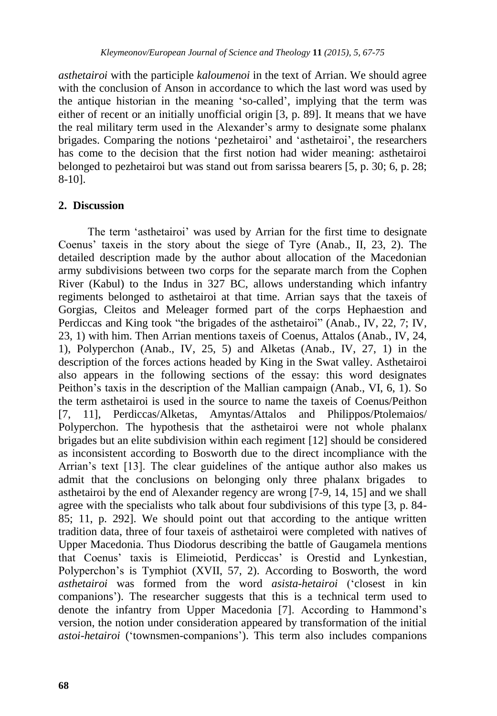*asthetairoi* with the participle *kaloumenoi* in the text of Arrian. We should agree with the conclusion of Anson in accordance to which the last word was used by the antique historian in the meaning "so-called", implying that the term was either of recent or an initially unofficial origin [3, p. 89]. It means that we have the real military term used in the Alexander"s army to designate some phalanx brigades. Comparing the notions 'pezhetairoi' and 'asthetairoi', the researchers has come to the decision that the first notion had wider meaning: asthetairoi belonged to pezhetairoi but was stand out from sarissa bearers [5, p. 30; 6, p. 28; 8-10].

## **2. Discussion**

The term "asthetairoi" was used by Arrian for the first time to designate Coenus" taxeis in the story about the siege of Tyre (Anab., II, 23, 2). The detailed description made by the author about allocation of the Macedonian army subdivisions between two corps for the separate march from the Cophen River (Kabul) to the Indus in 327 BC, allows understanding which infantry regiments belonged to asthetairoi at that time. Arrian says that the taxeis of Gorgias, Cleitos and Meleager formed part of the corps Hephaestion and Perdiccas and King took "the brigades of the asthetairoi" (Anab., IV, 22, 7; IV, 23, 1) with him. Then Arrian mentions taxeis of Coenus, Attalos (Anab., IV, 24, 1), Polyperchon (Anab., IV, 25, 5) and Alketas (Anab., IV, 27, 1) in the description of the forces actions headed by King in the Swat valley. Asthetairoi also appears in the following sections of the essay: this word designates Peithon"s taxis in the description of the Mallian campaign (Anab., VI, 6, 1). So the term asthetairoi is used in the source to name the taxeis of Coenus/Peithon [7, 11], Perdiccas/Alketas, Amyntas/Attalos and Philippos/Ptolemaios/ Polyperchon. The hypothesis that the asthetairoi were not whole phalanx brigades but an elite subdivision within each regiment [12] should be considered as inconsistent according to Bosworth due to the direct incompliance with the Arrian"s text [13]. The clear guidelines of the antique author also makes us admit that the conclusions on belonging only three phalanx brigades asthetairoi by the end of Alexander regency are wrong [7-9, 14, 15] and we shall agree with the specialists who talk about four subdivisions of this type [3, p. 84- 85; 11, p. 292]. We should point out that according to the antique written tradition data, three of four taxeis of asthetairoi were completed with natives of Upper Macedonia. Thus Diodorus describing the battle of Gaugamela mentions that Coenus" taxis is Elimeiotid, Perdiccas" is Orestid and Lynkestian, Polyperchon"s is Tymphiot (XVII, 57, 2). According to Bosworth, the word *asthetairoi* was formed from the word *asista-hetairoi* ("closest in kin companions"). The researcher suggests that this is a technical term used to denote the infantry from Upper Macedonia [7]. According to Hammond"s version, the notion under consideration appeared by transformation of the initial *astoi-hetairoi* ("townsmen-companions"). This term also includes companions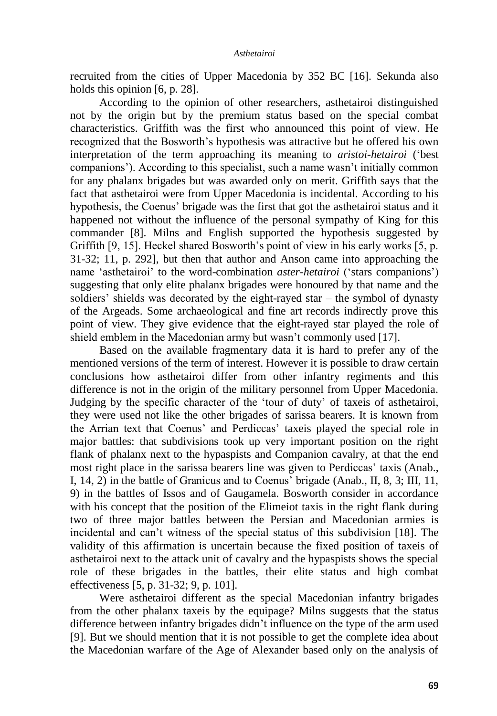recruited from the cities of Upper Macedonia by 352 BC [16]. Sekunda also holds this opinion [6, p. 28].

According to the opinion of other researchers, asthetairoi distinguished not by the origin but by the premium status based on the special combat characteristics. Griffith was the first who announced this point of view. He recognized that the Bosworth"s hypothesis was attractive but he offered his own interpretation of the term approaching its meaning to *aristoi-hetairoi* ("best companions"). According to this specialist, such a name wasn"t initially common for any phalanx brigades but was awarded only on merit. Griffith says that the fact that asthetairoi were from Upper Macedonia is incidental. According to his hypothesis, the Coenus" brigade was the first that got the asthetairoi status and it happened not without the influence of the personal sympathy of King for this commander [8]. Milns and English supported the hypothesis suggested by Griffith [9, 15]. Heckel shared Bosworth's point of view in his early works [5, p. 31-32; 11, p. 292], but then that author and Anson came into approaching the name "asthetairoi" to the word-combination *aster-hetairoi* ("stars companions") suggesting that only elite phalanx brigades were honoured by that name and the soldiers" shields was decorated by the eight-rayed star – the symbol of dynasty of the Argeads. Some archaeological and fine art records indirectly prove this point of view. They give evidence that the eight-rayed star played the role of shield emblem in the Macedonian army but wasn't commonly used [17].

Based on the available fragmentary data it is hard to prefer any of the mentioned versions of the term of interest. However it is possible to draw certain conclusions how asthetairoi differ from other infantry regiments and this difference is not in the origin of the military personnel from Upper Macedonia. Judging by the specific character of the "tour of duty" of taxeis of asthetairoi, they were used not like the other brigades of sarissa bearers. It is known from the Arrian text that Coenus" and Perdiccas" taxeis played the special role in major battles: that subdivisions took up very important position on the right flank of phalanx next to the hypaspists and Companion cavalry, at that the end most right place in the sarissa bearers line was given to Perdiccas' taxis (Anab., I, 14, 2) in the battle of Granicus and to Coenus" brigade (Anab., II, 8, 3; III, 11, 9) in the battles of Issos and of Gaugamela. Bosworth consider in accordance with his concept that the position of the Elimeiot taxis in the right flank during two of three major battles between the Persian and Macedonian armies is incidental and can"t witness of the special status of this subdivision [18]. The validity of this affirmation is uncertain because the fixed position of taxeis of asthetairoi next to the attack unit of cavalry and the hypaspists shows the special role of these brigades in the battles, their elite status and high combat effectiveness [5, p. 31-32; 9, p. 101].

Were asthetairoi different as the special Macedonian infantry brigades from the other phalanx taxeis by the equipage? Milns suggests that the status difference between infantry brigades didn"t influence on the type of the arm used [9]. But we should mention that it is not possible to get the complete idea about the Macedonian warfare of the Age of Alexander based only on the analysis of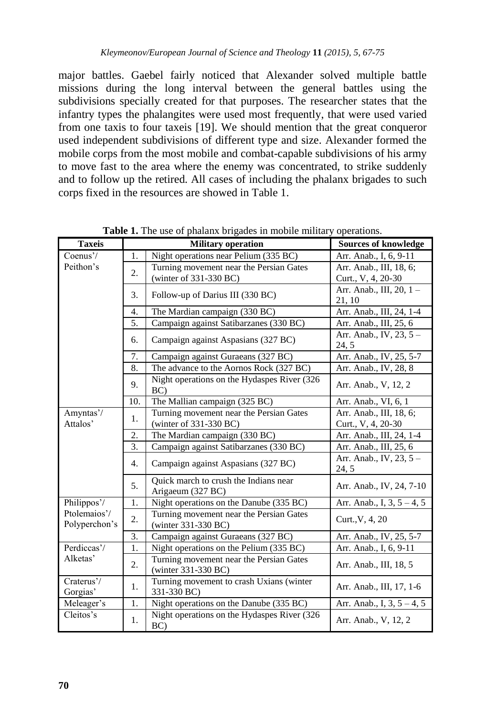major battles. Gaebel fairly noticed that Alexander solved multiple battle missions during the long interval between the general battles using the subdivisions specially created for that purposes. The researcher states that the infantry types the phalangites were used most frequently, that were used varied from one taxis to four taxeis [19]. We should mention that the great conqueror used independent subdivisions of different type and size. Alexander formed the mobile corps from the most mobile and combat-capable subdivisions of his army to move fast to the area where the enemy was concentrated, to strike suddenly and to follow up the retired. All cases of including the phalanx brigades to such corps fixed in the resources are showed in Table 1.

| <b>Taxeis</b>                 |     | <b>Military operation</b>                                      | <b>Sources of knowledge</b>      |
|-------------------------------|-----|----------------------------------------------------------------|----------------------------------|
| Coenus'/<br>Peithon's         | 1.  | Night operations near Pelium (335 BC)                          | Arr. Anab., I, 6, 9-11           |
|                               | 2.  | Turning movement near the Persian Gates                        | Arr. Anab., III, 18, 6;          |
|                               |     | (winter of $331-330$ BC)                                       | Curt., V, 4, 20-30               |
|                               | 3.  | Follow-up of Darius III (330 BC)                               | Arr. Anab., III, 20, 1 -         |
|                               |     |                                                                | 21, 10                           |
|                               | 4.  | The Mardian campaign (330 BC)                                  | Arr. Anab., III, 24, 1-4         |
|                               | 5.  | Campaign against Satibarzanes (330 BC)                         | Arr. Anab., III, 25, 6           |
|                               | б.  | Campaign against Aspasians (327 BC)                            | Arr. Anab., IV, 23, 5 -<br>24, 5 |
|                               | 7.  | Campaign against Guraeans (327 BC)                             | Arr. Anab., IV, 25, 5-7          |
|                               | 8.  | The advance to the Aornos Rock (327 BC)                        | Arr. Anab., IV, 28, 8            |
|                               | 9.  | Night operations on the Hydaspes River (326)<br>BC)            | Arr. Anab., V, 12, 2             |
|                               | 10. | The Mallian campaign (325 BC)                                  | Arr. Anab., VI, 6, 1             |
| Amyntas'/<br>Attalos'         | 1.  | Turning movement near the Persian Gates                        | Arr. Anab., III, 18, 6;          |
|                               |     | (winter of 331-330 BC)                                         | Curt., V, 4, 20-30               |
|                               | 2.  | The Mardian campaign (330 BC)                                  | Arr. Anab., III, 24, 1-4         |
|                               | 3.  | Campaign against Satibarzanes (330 BC)                         | Arr. Anab., III, 25, 6           |
|                               | 4.  | Campaign against Aspasians (327 BC)                            | Arr. Anab., IV, 23, 5 -<br>24, 5 |
|                               | 5.  | Quick march to crush the Indians near<br>Arigaeum (327 BC)     | Arr. Anab., IV, 24, 7-10         |
| Philippos'/                   | 1.  | Night operations on the Danube (335 BC)                        | Arr. Anab., I, $3, 5 - 4, 5$     |
| Ptolemaios'/<br>Polyperchon's | 2.  | Turning movement near the Persian Gates                        | Curt., V, 4, 20                  |
|                               |     | (winter 331-330 BC)                                            |                                  |
|                               | 3.  | Campaign against Guraeans (327 BC)                             | Arr. Anab., IV, 25, 5-7          |
| Perdiccas'/<br>Alketas'       | 1.  | Night operations on the Pelium (335 BC)                        | Arr. Anab., I, 6, 9-11           |
|                               | 2.  | Turning movement near the Persian Gates<br>(winter 331-330 BC) | Arr. Anab., III, 18, 5           |
| Craterus'/<br>Gorgias'        | 1.  | Turning movement to crash Uxians (winter<br>331-330 BC)        | Arr. Anab., III, 17, 1-6         |
| Meleager's                    | 1.  | Night operations on the Danube (335 BC)                        | Arr. Anab., I, $3, 5 - 4, 5$     |
| Cleitos's                     | 1.  | Night operations on the Hydaspes River (326<br>BC)             | Arr. Anab., V, 12, 2             |

**Table 1.** The use of phalanx brigades in mobile military operations.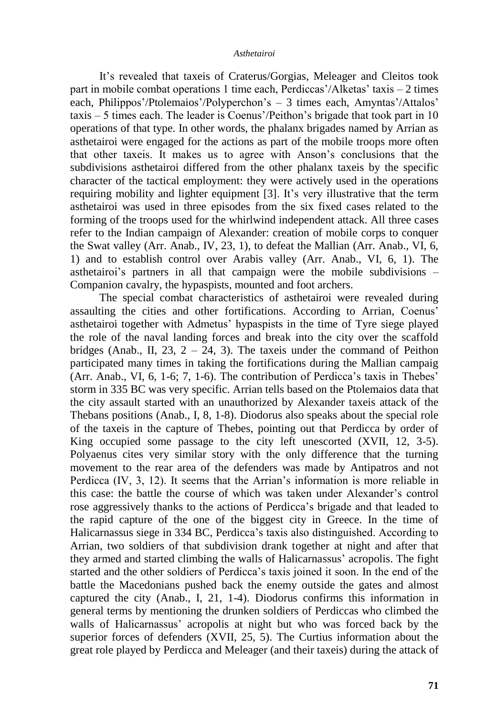#### *Asthetairoi*

It"s revealed that taxeis of Craterus/Gorgias, Meleager and Cleitos took part in mobile combat operations 1 time each, Perdiccas'/Alketas' taxis – 2 times each, Philippos'/Ptolemaios'/Polyperchon's – 3 times each, Amyntas'/Attalos'  $taxis - 5$  times each. The leader is Coenus'/Peithon's brigade that took part in 10 operations of that type. In other words, the phalanx brigades named by Arrian as asthetairoi were engaged for the actions as part of the mobile troops more often that other taxeis. It makes us to agree with Anson"s conclusions that the subdivisions asthetairoi differed from the other phalanx taxeis by the specific character of the tactical employment: they were actively used in the operations requiring mobility and lighter equipment [3]. It"s very illustrative that the term asthetairoi was used in three episodes from the six fixed cases related to the forming of the troops used for the whirlwind independent attack. All three cases refer to the Indian campaign of Alexander: creation of mobile corps to conquer the Swat valley (Arr. Anab., IV, 23, 1), to defeat the Mallian (Arr. Anab., VI, 6, 1) and to establish control over Arabis valley (Arr. Anab., VI, 6, 1). The asthetairoi"s partners in all that campaign were the mobile subdivisions – Companion cavalry, the hypaspists, mounted and foot archers.

The special combat characteristics of asthetairoi were revealed during assaulting the cities and other fortifications. According to Arrian, Coenus" asthetairoi together with Admetus' hypaspists in the time of Tyre siege played the role of the naval landing forces and break into the city over the scaffold bridges (Anab., II, 23,  $2 - 24$ , 3). The taxeis under the command of Peithon participated many times in taking the fortifications during the Mallian campaig (Arr. Anab., VI, 6, 1-6; 7, 1-6). The contribution of Perdicca's taxis in Thebes' storm in 335 BC was very specific. Arrian tells based on the Ptolemaios data that the city assault started with an unauthorized by Alexander taxeis attack of the Thebans positions (Anab., I, 8, 1-8). Diodorus also speaks about the special role of the taxeis in the capture of Thebes, pointing out that Perdicca by order of King occupied some passage to the city left unescorted (XVII, 12, 3-5). Polyaenus cites very similar story with the only difference that the turning movement to the rear area of the defenders was made by Antipatros and not Perdicca (IV, 3, 12). It seems that the Arrian"s information is more reliable in this case: the battle the course of which was taken under Alexander"s control rose aggressively thanks to the actions of Perdicca"s brigade and that leaded to the rapid capture of the one of the biggest city in Greece. In the time of Halicarnassus siege in 334 BC, Perdicca"s taxis also distinguished. According to Arrian, two soldiers of that subdivision drank together at night and after that they armed and started climbing the walls of Halicarnassus' acropolis. The fight started and the other soldiers of Perdicca"s taxis joined it soon. In the end of the battle the Macedonians pushed back the enemy outside the gates and almost captured the city (Anab., I, 21, 1-4). Diodorus confirms this information in general terms by mentioning the drunken soldiers of Perdiccas who climbed the walls of Halicarnassus' acropolis at night but who was forced back by the superior forces of defenders (XVII, 25, 5). The Curtius information about the great role played by Perdicca and Meleager (and their taxeis) during the attack of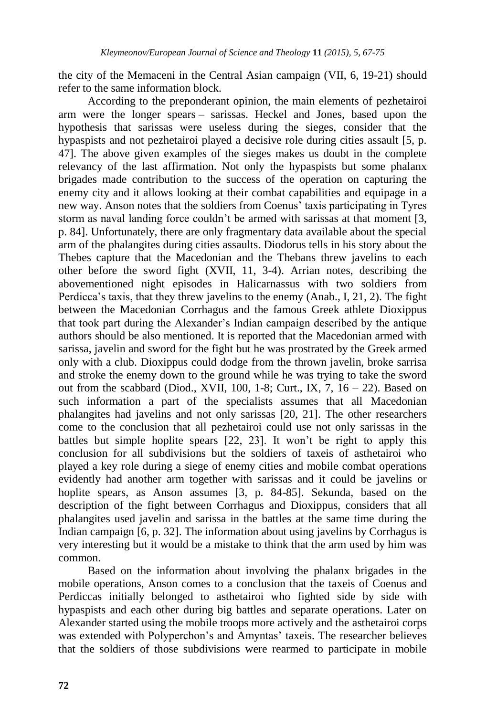the city of the Memaceni in the Central Asian campaign (VII, 6, 19-21) should refer to the same information block.

According to the preponderant opinion, the main elements of pezhetairoi arm were the longer spears – sarissas. Heckel and Jones, based upon the hypothesis that sarissas were useless during the sieges, consider that the hypaspists and not pezhetairoi played a decisive role during cities assault [5, p. 47]. The above given examples of the sieges makes us doubt in the complete relevancy of the last affirmation. Not only the hypaspists but some phalanx brigades made contribution to the success of the operation on capturing the enemy city and it allows looking at their combat capabilities and equipage in a new way. Anson notes that the soldiers from Coenus' taxis participating in Tyres storm as naval landing force couldn"t be armed with sarissas at that moment [3, p. 84]. Unfortunately, there are only fragmentary data available about the special arm of the phalangites during cities assaults. Diodorus tells in his story about the Thebes capture that the Macedonian and the Thebans threw javelins to each other before the sword fight (XVII, 11, 3-4). Arrian notes, describing the abovementioned night episodes in Halicarnassus with two soldiers from Perdicca"s taxis, that they threw javelins to the enemy (Anab., I, 21, 2). The fight between the Macedonian Corrhagus and the famous Greek athlete Dioxippus that took part during the Alexander"s Indian campaign described by the antique authors should be also mentioned. It is reported that the Macedonian armed with sarissa, javelin and sword for the fight but he was prostrated by the Greek armed only with a club. Dioxippus could dodge from the thrown javelin, broke sarrisa and stroke the enemy down to the ground while he was trying to take the sword out from the scabbard (Diod., XVII, 100, 1-8; Curt., IX,  $7, 16 - 22$ ). Based on such information a part of the specialists assumes that all Macedonian phalangites had javelins and not only sarissas [20, 21]. The other researchers come to the conclusion that all pezhetairoi could use not only sarissas in the battles but simple hoplite spears [22, 23]. It won't be right to apply this conclusion for all subdivisions but the soldiers of taxeis of asthetairoi who played a key role during a siege of enemy cities and mobile combat operations evidently had another arm together with sarissas and it could be javelins or hoplite spears, as Anson assumes [3, p. 84-85]. Sekunda, based on the description of the fight between Corrhagus and Dioxippus, considers that all phalangites used javelin and sarissa in the battles at the same time during the Indian campaign [6, p. 32]. The information about using javelins by Corrhagus is very interesting but it would be a mistake to think that the arm used by him was common.

Based on the information about involving the phalanx brigades in the mobile operations, Anson comes to a conclusion that the taxeis of Coenus and Perdiccas initially belonged to asthetairoi who fighted side by side with hypaspists and each other during big battles and separate operations. Later on Alexander started using the mobile troops more actively and the asthetairoi corps was extended with Polyperchon's and Amyntas' taxeis. The researcher believes that the soldiers of those subdivisions were rearmed to participate in mobile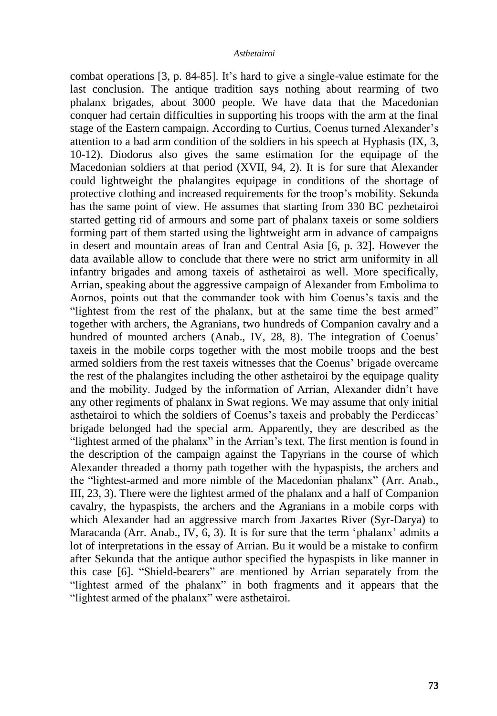#### *Asthetairoi*

combat operations [3, p. 84-85]. It"s hard to give a single-value estimate for the last conclusion. The antique tradition says nothing about rearming of two phalanx brigades, about 3000 people. We have data that the Macedonian conquer had certain difficulties in supporting his troops with the arm at the final stage of the Eastern campaign. According to Curtius, Coenus turned Alexander"s attention to a bad arm condition of the soldiers in his speech at Hyphasis (IX, 3, 10-12). Diodorus also gives the same estimation for the equipage of the Macedonian soldiers at that period (XVII, 94, 2). It is for sure that Alexander could lightweight the phalangites equipage in conditions of the shortage of protective clothing and increased requirements for the troop"s mobility. Sekunda has the same point of view. He assumes that starting from 330 BC pezhetairoi started getting rid of armours and some part of phalanx taxeis or some soldiers forming part of them started using the lightweight arm in advance of campaigns in desert and mountain areas of Iran and Central Asia [6, p. 32]. However the data available allow to conclude that there were no strict arm uniformity in all infantry brigades and among taxeis of asthetairoi as well. More specifically, Arrian, speaking about the aggressive campaign of Alexander from Embolima to Aornos, points out that the commander took with him Coenus"s taxis and the "lightest from the rest of the phalanx, but at the same time the best armed" together with archers, the Agranians, two hundreds of Companion cavalry and a hundred of mounted archers (Anab., IV, 28, 8). The integration of Coenus' taxeis in the mobile corps together with the most mobile troops and the best armed soldiers from the rest taxeis witnesses that the Coenus" brigade overcame the rest of the phalangites including the other asthetairoi by the equipage quality and the mobility. Judged by the information of Arrian, Alexander didn"t have any other regiments of phalanx in Swat regions. We may assume that only initial asthetairoi to which the soldiers of Coenus"s taxeis and probably the Perdiccas" brigade belonged had the special arm. Apparently, they are described as the "lightest armed of the phalanx" in the Arrian"s text. The first mention is found in the description of the campaign against the Tapyrians in the course of which Alexander threaded a thorny path together with the hypaspists, the archers and the "lightest-armed and more nimble of the Macedonian phalanx" (Arr. Anab., III, 23, 3). There were the lightest armed of the phalanx and a half of Companion cavalry, the hypaspists, the archers and the Agranians in a mobile corps with which Alexander had an aggressive march from Jaxartes River (Syr-Darya) to Maracanda (Arr. Anab., IV, 6, 3). It is for sure that the term 'phalanx' admits a lot of interpretations in the essay of Arrian. Bu it would be a mistake to confirm after Sekunda that the antique author specified the hypaspists in like manner in this case [6]. "Shield-bearers" are mentioned by Arrian separately from the "lightest armed of the phalanx" in both fragments and it appears that the "lightest armed of the phalanx" were asthetairoi.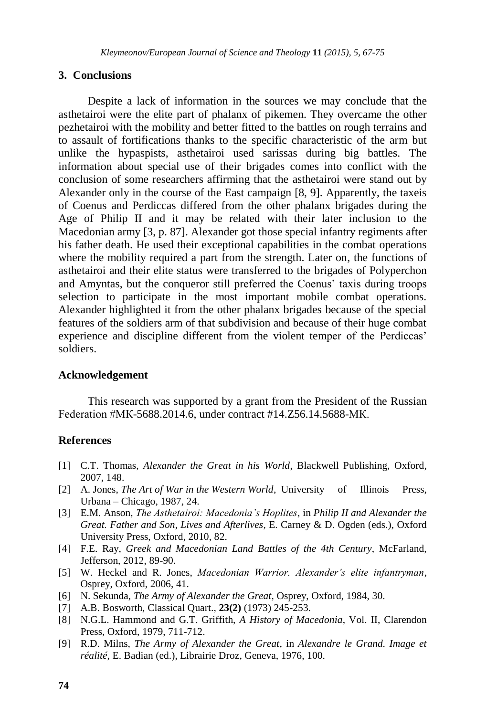### **3. Conclusions**

Despite a lack of information in the sources we may conclude that the asthetairoi were the elite part of phalanx of pikemen. They overcame the other pezhetairoi with the mobility and better fitted to the battles on rough terrains and to assault of fortifications thanks to the specific characteristic of the arm but unlike the hypaspists, asthetairoi used sarissas during big battles. The information about special use of their brigades comes into conflict with the conclusion of some researchers affirming that the asthetairoi were stand out by Alexander only in the course of the East campaign [8, 9]. Apparently, the taxeis of Coenus and Perdiccas differed from the other phalanx brigades during the Age of Philip II and it may be related with their later inclusion to the Macedonian army [3, p. 87]. Alexander got those special infantry regiments after his father death. He used their exceptional capabilities in the combat operations where the mobility required a part from the strength. Later on, the functions of asthetairoi and their elite status were transferred to the brigades of Polyperchon and Amyntas, but the conqueror still preferred the Coenus' taxis during troops selection to participate in the most important mobile combat operations. Alexander highlighted it from the other phalanx brigades because of the special features of the soldiers arm of that subdivision and because of their huge combat experience and discipline different from the violent temper of the Perdiccas' soldiers.

#### **Acknowledgement**

This research was supported by a grant from the President of the Russian Federation #МК-5688.2014.6, under contract #14.Z56.14.5688-МК.

### **References**

- [1] C.T. Thomas, *Alexander the Great in his World*, Blackwell Publishing, Oxford, 2007, 148.
- [2] A. Jones, *The Art of War in the Western World*, University of Illinois Press, Urbana – Chicago, 1987, 24.
- [3] E.M. Anson, *The Asthetairoi: Macedonia's Hoplites*, in *Philip II and Alexander the Great. Father and Son, Lives and Afterlives*, E. Carney & D. Ogden (eds.), Oxford University Press, Oxford, 2010, 82.
- [4] F.E. Ray, *Greek and Macedonian Land Battles of the 4th Century*, McFarland, Jefferson, 2012, 89-90.
- [5] W. Heckel and R. Jones, *Macedonian Warrior. Alexander's elite infantryman*, Osprey, Oxford, 2006, 41.
- [6] N. Sekunda, *The Army of Alexander the Great*, Osprey, Oxford, 1984, 30.
- [7] A.B. Bosworth, Classical Quart., **23(2)** (1973) 245-253.
- [8] N.G.L. Hammond and G.T. Griffith, *A History of Macedonia*, Vol. II, Clarendon Press, Oxford, 1979, 711-712.
- [9] R.D. Milns, *The Army of Alexander the Great*, in *Alexandre le Grand. Image et réalité*, E. Badian (ed.), Librairie Droz, Geneva, 1976, 100.